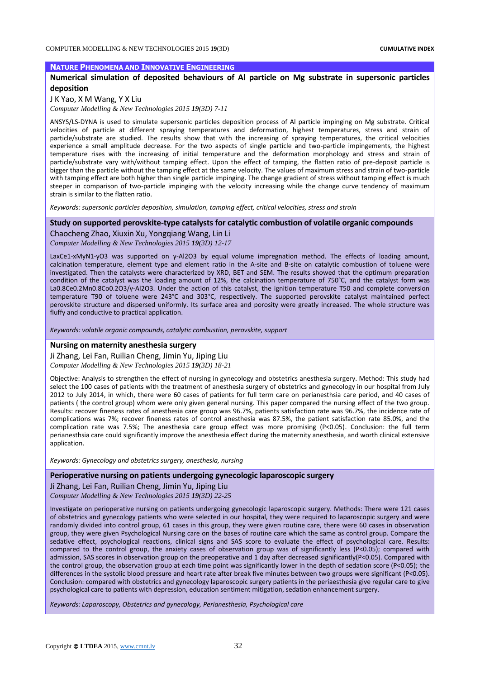### **NATURE PHENOMENA AND INNOVATIVE ENGINEERING**

# **Numerical simulation of deposited behaviours of Al particle on Mg substrate in supersonic particles deposition**

### J K Yao, X M Wang, Y X Liu

*Computer Modelling & New Technologies 2015 19(3D) 7-11*

ANSYS/LS-DYNA is used to simulate supersonic particles deposition process of Al particle impinging on Mg substrate. Critical velocities of particle at different spraying temperatures and deformation, highest temperatures, stress and strain of particle/substrate are studied. The results show that with the increasing of spraying temperatures, the critical velocities experience a small amplitude decrease. For the two aspects of single particle and two-particle impingements, the highest temperature rises with the increasing of initial temperature and the deformation morphology and stress and strain of particle/substrate vary with/without tamping effect. Upon the effect of tamping, the flatten ratio of pre-deposit particle is bigger than the particle without the tamping effect at the same velocity. The values of maximum stress and strain of two-particle with tamping effect are both higher than single particle impinging. The change gradient of stress without tamping effect is much steeper in comparison of two-particle impinging with the velocity increasing while the change curve tendency of maximum strain is similar to the flatten ratio.

*Keywords: supersonic particles deposition, simulation, tamping effect, critical velocities, stress and strain*

## **Study on supported perovskite-type catalysts for catalytic combustion of volatile organic compounds**

Chaocheng Zhao, Xiuxin Xu, Yongqiang Wang, Lin Li *Computer Modelling & New Technologies 2015 19(3D) 12-17*

LaxCe1-xMyN1-yO3 was supported on γ-Al2O3 by equal volume impregnation method. The effects of loading amount, calcination temperature, element type and element ratio in the A-site and B-site on catalytic combustion of toluene were investigated. Then the catalysts were characterized by XRD, BET and SEM. The results showed that the optimum preparation condition of the catalyst was the loading amount of 12%, the calcination temperature of 750°C, and the catalyst form was La0.8Ce0.2Mn0.8Co0.2O3/γ-Al2O3. Under the action of this catalyst, the ignition temperature T50 and complete conversion temperature T90 of toluene were 243°C and 303°C, respectively. The supported perovskite catalyst maintained perfect perovskite structure and dispersed uniformly. Its surface area and porosity were greatly increased. The whole structure was fluffy and conductive to practical application.

*Keywords: volatile organic compounds, catalytic combustion, perovskite, support*

#### **Nursing on maternity anesthesia surgery**

Ji Zhang, Lei Fan, Ruilian Cheng, Jimin Yu, Jiping Liu *Computer Modelling & New Technologies 2015 19(3D) 18-21*

Objective: Analysis to strengthen the effect of nursing in gynecology and obstetrics anesthesia surgery. Method: This study had select the 100 cases of patients with the treatment of anesthesia surgery of obstetrics and gynecology in our hospital from July 2012 to July 2014, in which, there were 60 cases of patients for full term care on perianesthsia care period, and 40 cases of patients ( the control group) whom were only given general nursing. This paper compared the nursing effect of the two group. Results: recover fineness rates of anesthesia care group was 96.7%, patients satisfaction rate was 96.7%, the incidence rate of complications was 7%; recover fineness rates of control anesthesia was 87.5%, the patient satisfaction rate 85.0%, and the complication rate was 7.5%; The anesthesia care group effect was more promising (P<0.05). Conclusion: the full term perianesthsia care could significantly improve the anesthesia effect during the maternity anesthesia, and worth clinical extensive application.

*Keywords: Gynecology and obstetrics surgery, anesthesia, nursing*

## **Perioperative nursing on patients undergoing gynecologic laparoscopic surgery**

Ji Zhang, Lei Fan, Ruilian Cheng, Jimin Yu, Jiping Liu *Computer Modelling & New Technologies 2015 19(3D) 22-25*

Investigate on perioperative nursing on patients undergoing gynecologic laparoscopic surgery. Methods: There were 121 cases of obstetrics and gynecology patients who were selected in our hospital, they were required to laparoscopic surgery and were randomly divided into control group, 61 cases in this group, they were given routine care, there were 60 cases in observation group, they were given Psychological Nursing care on the bases of routine care which the same as control group. Compare the sedative effect, psychological reactions, clinical signs and SAS score to evaluate the effect of psychological care. Results: compared to the control group, the anxiety cases of observation group was of significantly less (P<0.05); compared with admission, SAS scores in observation group on the preoperative and 1 day after decreased significantly(P<0.05). Compared with the control group, the observation group at each time point was significantly lower in the depth of sedation score (P<0.05); the differences in the systolic blood pressure and heart rate after break five minutes between two groups were significant (P<0.05). Conclusion: compared with obstetrics and gynecology laparoscopic surgery patients in the periaesthesia give regular care to give psychological care to patients with depression, education sentiment mitigation, sedation enhancement surgery.

*Keywords: Laparoscopy, Obstetrics and gynecology, Perianesthesia, Psychological care*